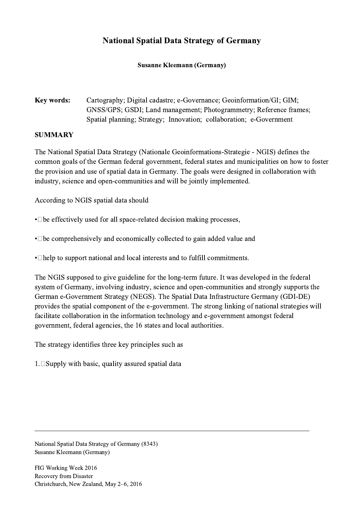## National Spatial Data Strategy of Germany

Susanne Kleemann (Germany)

Key words: Cartography; Digital cadastre; e-Governance; Geoinformation/GI; GIM; GNSS/GPS; GSDI; Land management; Photogrammetry; Reference frames; Spatial planning; Strategy; Innovation; collaboration; e-Government

## SUMMARY

The National Spatial Data Strategy (Nationale Geoinformations-Strategie - NGIS) defines the common goals of the German federal government, federal states and municipalities on how to foster the provision and use of spatial data in Germany. The goals were designed in collaboration with industry, science and open-communities and will be jointly implemented.

According to NGIS spatial data should

 $\cdot$  De effectively used for all space-related decision making processes,

• De comprehensively and economically collected to gain added value and

• Thelp to support national and local interests and to fulfill commitments.

The NGIS supposed to give guideline for the long-term future. It was developed in the federal system of Germany, involving industry, science and open-communities and strongly supports the German e-Government Strategy (NEGS). The Spatial Data Infrastructure Germany (GDI-DE) provides the spatial component of the e-government. The strong linking of national strategies will facilitate collaboration in the information technology and e-government amongst federal government, federal agencies, the 16 states and local authorities.

 $\mathcal{L}_\mathcal{L} = \{ \mathcal{L}_\mathcal{L} = \{ \mathcal{L}_\mathcal{L} = \{ \mathcal{L}_\mathcal{L} = \{ \mathcal{L}_\mathcal{L} = \{ \mathcal{L}_\mathcal{L} = \{ \mathcal{L}_\mathcal{L} = \{ \mathcal{L}_\mathcal{L} = \{ \mathcal{L}_\mathcal{L} = \{ \mathcal{L}_\mathcal{L} = \{ \mathcal{L}_\mathcal{L} = \{ \mathcal{L}_\mathcal{L} = \{ \mathcal{L}_\mathcal{L} = \{ \mathcal{L}_\mathcal{L} = \{ \mathcal{L}_\mathcal{$ 

The strategy identifies three key principles such as

 $1. \Box$  Supply with basic, quality assured spatial data

National Spatial Data Strategy of Germany (8343) Susanne Kleemann (Germany)

FIG Working Week 2016 Recovery from Disaster Christchurch, New Zealand, May 2–6, 2016